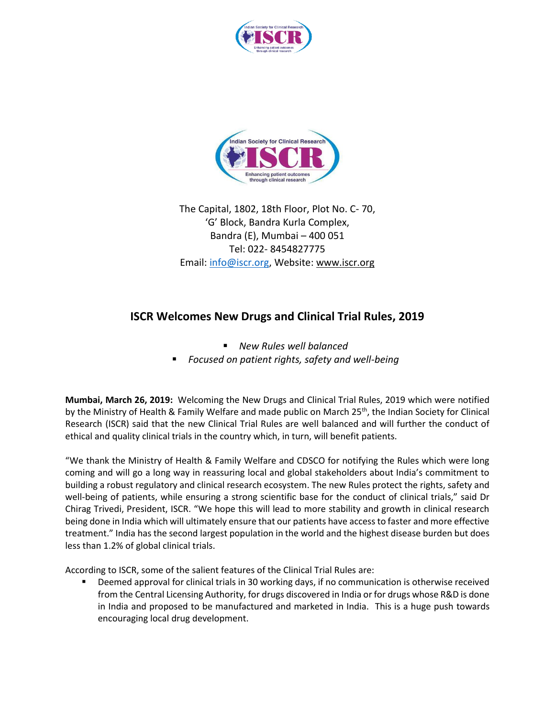



The Capital, 1802, 18th Floor, Plot No. C- 70, 'G' Block, Bandra Kurla Complex, Bandra (E), Mumbai – 400 051 Tel: 022- 8454827775 Email: [info@iscr.org,](mailto:info@iscr.org) Website: www.iscr.org

## **ISCR Welcomes New Drugs and Clinical Trial Rules, 2019**

- *New Rules well balanced*
- *Focused on patient rights, safety and well-being*

**Mumbai, March 26, 2019:** Welcoming the New Drugs and Clinical Trial Rules, 2019 which were notified by the Ministry of Health & Family Welfare and made public on March 25<sup>th</sup>, the Indian Society for Clinical Research (ISCR) said that the new Clinical Trial Rules are well balanced and will further the conduct of ethical and quality clinical trials in the country which, in turn, will benefit patients.

"We thank the Ministry of Health & Family Welfare and CDSCO for notifying the Rules which were long coming and will go a long way in reassuring local and global stakeholders about India's commitment to building a robust regulatory and clinical research ecosystem. The new Rules protect the rights, safety and well-being of patients, while ensuring a strong scientific base for the conduct of clinical trials," said Dr Chirag Trivedi, President, ISCR. "We hope this will lead to more stability and growth in clinical research being done in India which will ultimately ensure that our patients have access to faster and more effective treatment." India has the second largest population in the world and the highest disease burden but does less than 1.2% of global clinical trials.

According to ISCR, some of the salient features of the Clinical Trial Rules are:

Deemed approval for clinical trials in 30 working days, if no communication is otherwise received from the Central Licensing Authority, for drugs discovered in India or for drugs whose R&D is done in India and proposed to be manufactured and marketed in India. This is a huge push towards encouraging local drug development.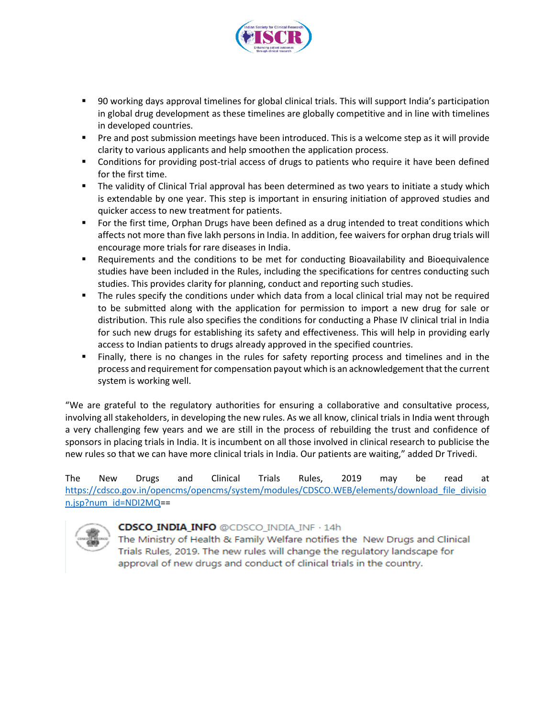

- 90 working days approval timelines for global clinical trials. This will support India's participation in global drug development as these timelines are globally competitive and in line with timelines in developed countries.
- Pre and post submission meetings have been introduced. This is a welcome step as it will provide clarity to various applicants and help smoothen the application process.
- Conditions for providing post-trial access of drugs to patients who require it have been defined for the first time.
- **•** The validity of Clinical Trial approval has been determined as two years to initiate a study which is extendable by one year. This step is important in ensuring initiation of approved studies and quicker access to new treatment for patients.
- **•** For the first time, Orphan Drugs have been defined as a drug intended to treat conditions which affects not more than five lakh persons in India. In addition, fee waivers for orphan drug trials will encourage more trials for rare diseases in India.
- Requirements and the conditions to be met for conducting Bioavailability and Bioequivalence studies have been included in the Rules, including the specifications for centres conducting such studies. This provides clarity for planning, conduct and reporting such studies.
- The rules specify the conditions under which data from a local clinical trial may not be required to be submitted along with the application for permission to import a new drug for sale or distribution. This rule also specifies the conditions for conducting a Phase IV clinical trial in India for such new drugs for establishing its safety and effectiveness. This will help in providing early access to Indian patients to drugs already approved in the specified countries.
- Finally, there is no changes in the rules for safety reporting process and timelines and in the process and requirement for compensation payout which is an acknowledgement that the current system is working well.

"We are grateful to the regulatory authorities for ensuring a collaborative and consultative process, involving all stakeholders, in developing the new rules. As we all know, clinical trials in India went through a very challenging few years and we are still in the process of rebuilding the trust and confidence of sponsors in placing trials in India. It is incumbent on all those involved in clinical research to publicise the new rules so that we can have more clinical trials in India. Our patients are waiting," added Dr Trivedi.

The New Drugs and Clinical Trials Rules, 2019 may be read at [https://cdsco.gov.in/opencms/opencms/system/modules/CDSCO.WEB/elements/download\\_file\\_divisio](https://cdsco.gov.in/opencms/opencms/system/modules/CDSCO.WEB/elements/download_file_division.jsp?num_id=NDI2MQ) [n.jsp?num\\_id=NDI2MQ=](https://cdsco.gov.in/opencms/opencms/system/modules/CDSCO.WEB/elements/download_file_division.jsp?num_id=NDI2MQ)=



## **CDSCO INDIA INFO @CDSCO INDIA INF · 14h**

The Ministry of Health & Family Welfare notifies the New Drugs and Clinical Trials Rules, 2019. The new rules will change the regulatory landscape for approval of new drugs and conduct of clinical trials in the country.